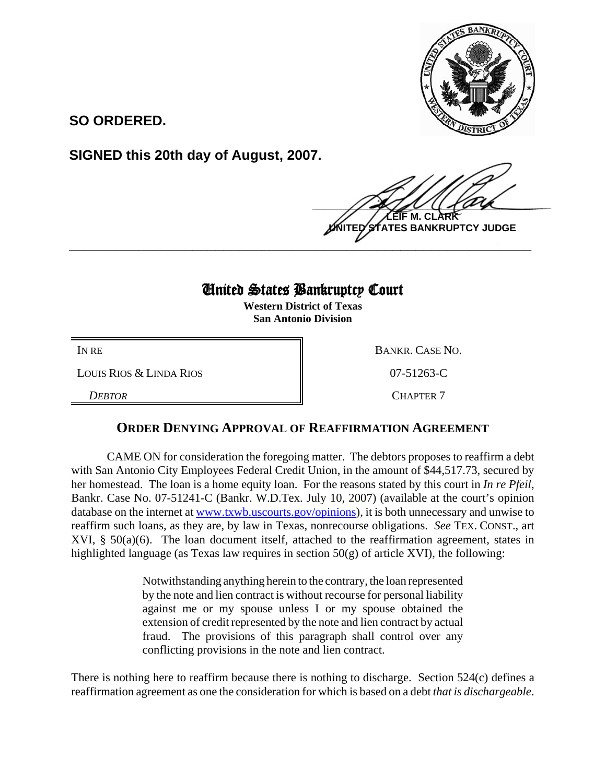

**SO ORDERED.**

**SIGNED this 20th day of August, 2007.**

 $\frac{1}{2}$ **M. CI NTES BANKRUPTCY JUDGE** 

## United States Bankruptcy Court

**\_\_\_\_\_\_\_\_\_\_\_\_\_\_\_\_\_\_\_\_\_\_\_\_\_\_\_\_\_\_\_\_\_\_\_\_\_\_\_\_\_\_\_\_\_\_\_\_\_\_\_\_\_\_\_\_\_\_\_\_**

**Western District of Texas San Antonio Division**

LOUIS RIOS & LINDA RIOS 07-51263-C

*DEBTOR* CHAPTER 7

IN RE BANKR. CASE NO.

## **ORDER DENYING APPROVAL OF REAFFIRMATION AGREEMENT**

CAME ON for consideration the foregoing matter. The debtors proposes to reaffirm a debt with San Antonio City Employees Federal Credit Union, in the amount of \$44,517.73, secured by her homestead. The loan is a home equity loan. For the reasons stated by this court in *In re Pfeil*, Bankr. Case No. 07-51241-C (Bankr. W.D.Tex. July 10, 2007) (available at the court's opinion database on the internet at www.txwb.uscourts.gov/opinions), it is both unnecessary and unwise to reaffirm such loans, as they are, by law in Texas, nonrecourse obligations. *See* TEX. CONST., art XVI, § 50(a)(6). The loan document itself, attached to the reaffirmation agreement, states in highlighted language (as Texas law requires in section 50(g) of article XVI), the following:

> Notwithstanding anything herein to the contrary, the loan represented by the note and lien contract is without recourse for personal liability against me or my spouse unless I or my spouse obtained the extension of credit represented by the note and lien contract by actual fraud. The provisions of this paragraph shall control over any conflicting provisions in the note and lien contract.

There is nothing here to reaffirm because there is nothing to discharge. Section  $524(c)$  defines a reaffirmation agreement as one the consideration for which is based on a debt *that is dischargeable*.